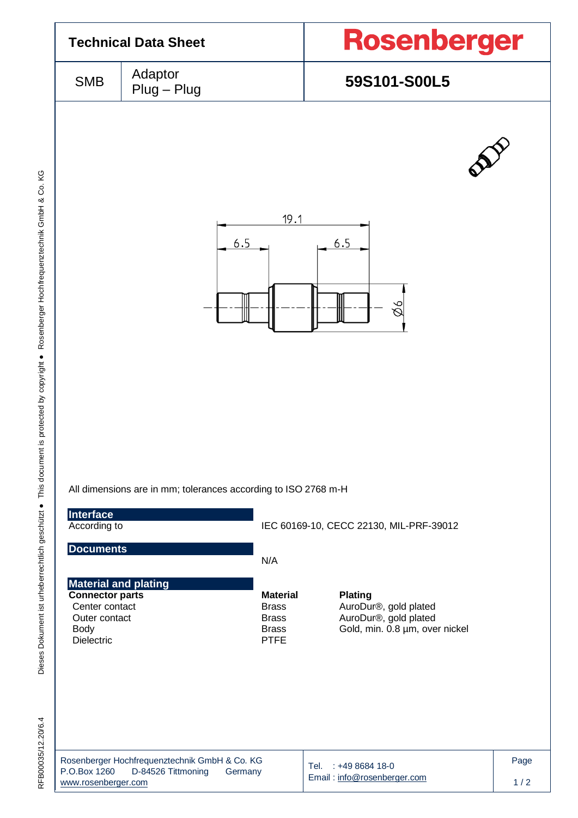